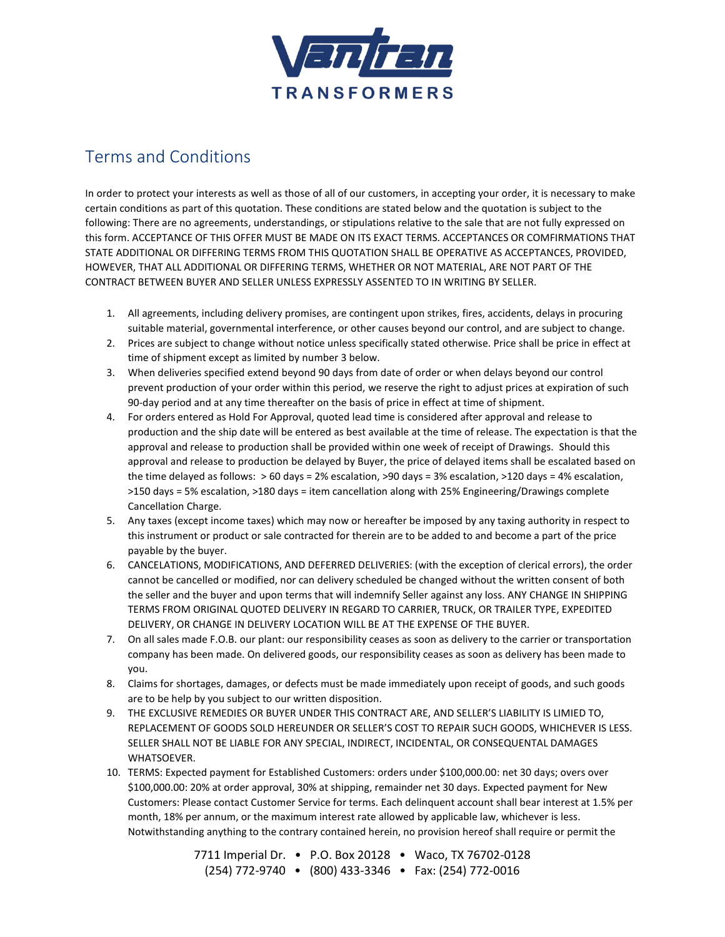

## Terms and Conditions

In order to protect your interests as well as those of all of our customers, in accepting your order, it is necessary to make certain conditions as part of this quotation. These conditions are stated below and the quotation is subject to the following: There are no agreements, understandings, or stipulations relative to the sale that are not fully expressed on this form. ACCEPTANCE OF THIS OFFER MUST BE MADE ON ITS EXACT TERMS. ACCEPTANCES OR COMFIRMATIONS THAT STATE ADDITIONAL OR DIFFERING TERMS FROM THIS QUOTATION SHALL BE OPERATIVE AS ACCEPTANCES, PROVIDED, HOWEVER, THAT ALL ADDITIONAL OR DIFFERING TERMS, WHETHER OR NOT MATERIAL, ARE NOT PART OF THE CONTRACT BETWEEN BUYER AND SELLER UNLESS EXPRESSLY ASSENTED TO IN WRITING BY SELLER.

- 1. All agreements, including delivery promises, are contingent upon strikes, fires, accidents, delays in procuring suitable material, governmental interference, or other causes beyond our control, and are subject to change.
- 2. Prices are subject to change without notice unless specifically stated otherwise. Price shall be price in effect at time of shipment except as limited by number 3 below.
- 3. When deliveries specified extend beyond 90 days from date of order or when delays beyond our control prevent production of your order within this period, we reserve the right to adjust prices at expiration of such 90-day period and at any time thereafter on the basis of price in effect at time of shipment.
- 4. For orders entered as Hold For Approval, quoted lead time is considered after approval and release to production and the ship date will be entered as best available at the time of release. The expectation is that the approval and release to production shall be provided within one week of receipt of Drawings. Should this approval and release to production be delayed by Buyer, the price of delayed items shall be escalated based on the time delayed as follows: > 60 days = 2% escalation, >90 days = 3% escalation, >120 days = 4% escalation, >150 days = 5% escalation, >180 days = item cancellation along with 25% Engineering/Drawings complete Cancellation Charge.
- 5. Any taxes (except income taxes) which may now or hereafter be imposed by any taxing authority in respect to this instrument or product or sale contracted for therein are to be added to and become a part of the price payable by the buyer.
- 6. CANCELATIONS, MODIFICATIONS, AND DEFERRED DELIVERIES: (with the exception of clerical errors), the order cannot be cancelled or modified, nor can delivery scheduled be changed without the written consent of both the seller and the buyer and upon terms that will indemnify Seller against any loss. ANY CHANGE IN SHIPPING TERMS FROM ORIGINAL QUOTED DELIVERY IN REGARD TO CARRIER, TRUCK, OR TRAILER TYPE, EXPEDITED DELIVERY, OR CHANGE IN DELIVERY LOCATION WILL BE AT THE EXPENSE OF THE BUYER.
- 7. On all sales made F.O.B. our plant: our responsibility ceases as soon as delivery to the carrier or transportation company has been made. On delivered goods, our responsibility ceases as soon as delivery has been made to you.
- 8. Claims for shortages, damages, or defects must be made immediately upon receipt of goods, and such goods are to be help by you subject to our written disposition.
- 9. THE EXCLUSIVE REMEDIES OR BUYER UNDER THIS CONTRACT ARE, AND SELLER'S LIABILITY IS LIMIED TO, REPLACEMENT OF GOODS SOLD HEREUNDER OR SELLER'S COST TO REPAIR SUCH GOODS, WHICHEVER IS LESS. SELLER SHALL NOT BE LIABLE FOR ANY SPECIAL, INDIRECT, INCIDENTAL, OR CONSEQUENTAL DAMAGES WHATSOEVER.
- 10. TERMS: Expected payment for Established Customers: orders under \$100,000.00: net 30 days; overs over \$100,000.00: 20% at order approval, 30% at shipping, remainder net 30 days. Expected payment for New Customers: Please contact Customer Service for terms. Each delinquent account shall bear interest at 1.5% per month, 18% per annum, or the maximum interest rate allowed by applicable law, whichever is less. Notwithstanding anything to the contrary contained herein, no provision hereof shall require or permit the

7711 Imperial Dr. • P.O. Box 20128 • Waco, TX 76702-0128 (254) 772-9740 • (800) 433-3346 • Fax: (254) 772-0016